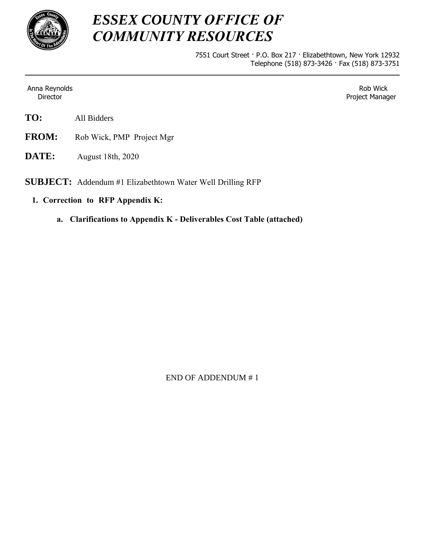

## *ESSEX COUNTY OFFICE OF COMMUNITY RESOURCES*

7551 Court Street · P.O. Box 217 · Elizabethtown, New York 12932 Telephone (518) 873-3426 · Fax (518) 873-3751

Anna Reynolds Director

Rob Wick Project Manager

- **TO:** All Bidders
- **FROM:** Rob Wick, PMP Project Mgr
- **DATE:** August 18th, 2020

**SUBJECT:** Addendum #1 Elizabethtown Water Well Drilling RFP

- **1. Correction to RFP Appendix K:**
	- **a. Clarifications to Appendix K Deliverables Cost Table (attached)**

END OF ADDENDUM # 1